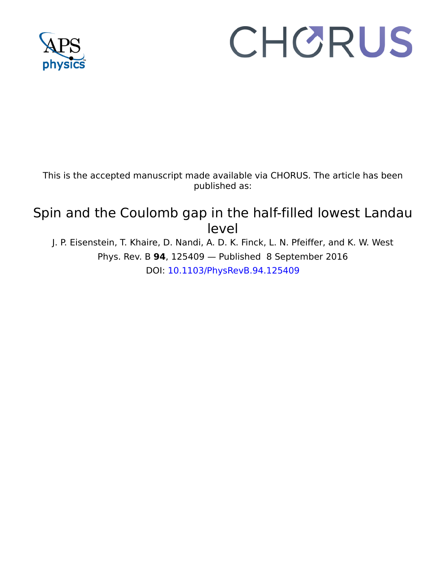

# CHORUS

This is the accepted manuscript made available via CHORUS. The article has been published as:

# Spin and the Coulomb gap in the half-filled lowest Landau level

J. P. Eisenstein, T. Khaire, D. Nandi, A. D. K. Finck, L. N. Pfeiffer, and K. W. West Phys. Rev. B **94**, 125409 — Published 8 September 2016 DOI: [10.1103/PhysRevB.94.125409](http://dx.doi.org/10.1103/PhysRevB.94.125409)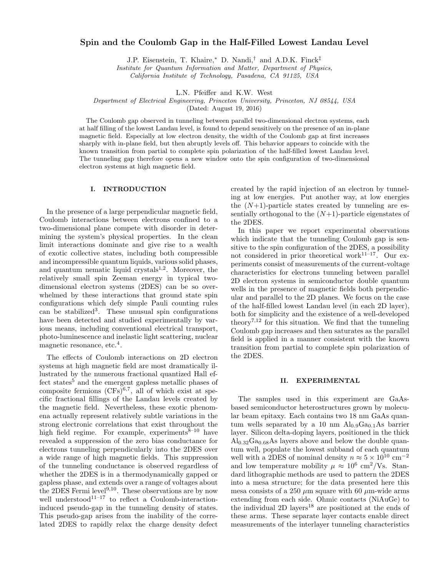## Spin and the Coulomb Gap in the Half-Filled Lowest Landau Level

J.P. Eisenstein, T. Khaire,<sup>∗</sup> D. Nandi,† and A.D.K. Finck‡

Institute for Quantum Information and Matter, Department of Physics,

California Institute of Technology, Pasadena, CA 91125, USA

L.N. Pfeiffer and K.W. West

Department of Electrical Engineering, Princeton University, Princeton, NJ 08544, USA

(Dated: August 19, 2016)

The Coulomb gap observed in tunneling between parallel two-dimensional electron systems, each at half filling of the lowest Landau level, is found to depend sensitively on the presence of an in-plane magnetic field. Especially at low electron density, the width of the Coulomb gap at first increases sharply with in-plane field, but then abruptly levels off. This behavior appears to coincide with the known transition from partial to complete spin polarization of the half-filled lowest Landau level. The tunneling gap therefore opens a new window onto the spin configuration of two-dimensional electron systems at high magnetic field.

#### I. INTRODUCTION

In the presence of a large perpendicular magnetic field, Coulomb interactions between electrons confined to a two-dimensional plane compete with disorder in determining the system's physical properties. In the clean limit interactions dominate and give rise to a wealth of exotic collective states, including both compressible and incompressible quantum liquids, various solid phases, and quantum nematic liquid crystals $1,2$ . Moreover, the relatively small spin Zeeman energy in typical twodimensional electron systems (2DES) can be so overwhelmed by these interactions that ground state spin configurations which defy simple Pauli counting rules can be stabilized<sup>3</sup> . These unusual spin configurations have been detected and studied experimentally by various means, including conventional electrical transport, photo-luminescence and inelastic light scattering, nuclear magnetic resonance, etc.<sup>4</sup>.

The effects of Coulomb interactions on 2D electron systems at high magnetic field are most dramatically illustrated by the numerous fractional quantized Hall effect states<sup>5</sup> and the emergent gapless metallic phases of composite fermions  $(CFs)^{6,7}$ , all of which exist at specific fractional fillings of the Landau levels created by the magnetic field. Nevertheless, these exotic phenomena actually represent relatively subtle variations in the strong electronic correlations that exist throughout the high field regime. For example, experiments $\tilde{8}^{-10}$  have revealed a suppression of the zero bias conductance for electrons tunneling perpendicularly into the 2DES over a wide range of high magnetic fields. This suppression of the tunneling conductance is observed regardless of whether the 2DES is in a thermodynamically gapped or gapless phase, and extends over a range of voltages about the 2DES Fermi level<sup>9,10</sup>. These observations are by now well understood<sup>11–17</sup> to reflect a Coulomb-interactioninduced pseudo-gap in the tunneling density of states. This pseudo-gap arises from the inability of the correlated 2DES to rapidly relax the charge density defect

created by the rapid injection of an electron by tunneling at low energies. Put another way, at low energies the  $(N+1)$ -particle states created by tunneling are essentially orthogonal to the  $(N+1)$ -particle eigenstates of the 2DES.

In this paper we report experimental observations which indicate that the tunneling Coulomb gap is sensitive to the spin configuration of the 2DES, a possibility not considered in prior theoretical work $11-17$ . Our experiments consist of measurements of the current-voltage characteristics for electrons tunneling between parallel 2D electron systems in semiconductor double quantum wells in the presence of magnetic fields both perpendicular and parallel to the 2D planes. We focus on the case of the half-filled lowest Landau level (in each 2D layer), both for simplicity and the existence of a well-developed theory<sup>7,12</sup> for this situation. We find that the tunneling Coulomb gap increases and then saturates as the parallel field is applied in a manner consistent with the known transition from partial to complete spin polarization of the 2DES.

#### II. EXPERIMENTAL

The samples used in this experiment are GaAsbased semiconductor heterostructures grown by molecular beam epitaxy. Each contains two 18 nm GaAs quantum wells separated by a 10 nm  $\text{Al}_{0.9}\text{Ga}_{0.1}\text{As}$  barrier layer. Silicon delta-doping layers, positioned in the thick  $\text{Al}_{0.32}\text{Ga}_{0.68}\text{As}$  layers above and below the double quantum well, populate the lowest subband of each quantum well with a 2DES of nominal density  $n \approx 5 \times 10^{10}$  cm<sup>-2</sup> and low temperature mobility  $\mu \approx 10^6 \text{ cm}^2/\text{Vs}$ . Standard lithographic methods are used to pattern the 2DES into a mesa structure; for the data presented here this mesa consists of a 250  $\mu$ m square with 60  $\mu$ m-wide arms extending from each side. Ohmic contacts (NiAuGe) to the individual 2D layers<sup>18</sup> are positioned at the ends of these arms. These separate layer contacts enable direct measurements of the interlayer tunneling characteristics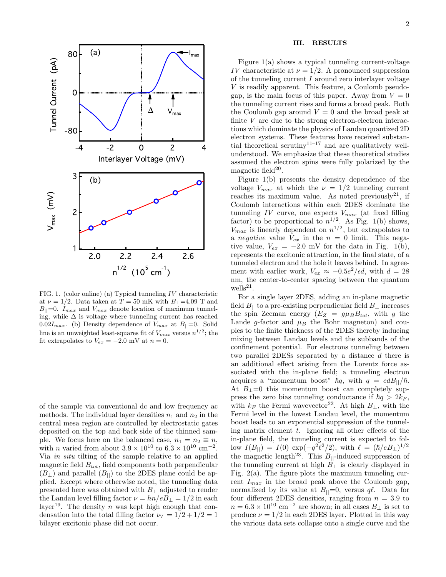

FIG. 1. (color online) (a) Typical tunneling  $IV$  characteristic at  $\nu = 1/2$ . Data taken at  $T = 50$  mK with  $B_{\perp} = 4.09$  T and  $B_{\parallel}=0$ .  $I_{max}$  and  $V_{max}$  denote location of maximum tunneling, while  $\Delta$  is voltage where tunneling current has reached 0.02 $I_{max}$ . (b) Density dependence of  $V_{max}$  at  $B_{||}=0$ . Solid line is an unweighted least-squares fit of  $V_{max}$  versus  $n^{1/2}$ ; the fit extrapolates to  $V_{ex} = -2.0$  mV at  $n = 0$ .

of the sample via conventional dc and low frequency ac methods. The individual layer densities  $n_1$  and  $n_2$  in the central mesa region are controlled by electrostatic gates deposited on the top and back side of the thinned sample. We focus here on the balanced case,  $n_1 = n_2 \equiv n$ , with *n* varied from about  $3.9 \times 10^{10}$  to  $6.3 \times 10^{10}$  cm<sup>-2</sup>. Via in situ tilting of the sample relative to an applied magnetic field  $B_{tot}$ , field components both perpendicular  $(B<sub>⊥</sub>)$  and parallel  $(B<sub>||</sub>)$  to the 2DES plane could be applied. Except where otherwise noted, the tunneling data presented here was obtained with  $B_{\perp}$  adjusted to render the Landau level filling factor  $\nu = hn/eB_{\perp} = 1/2$  in each layer<sup>19</sup>. The density n was kept high enough that condensation into the total filling factor  $\nu_T = 1/2 + 1/2 = 1$ bilayer excitonic phase did not occur.

#### III. RESULTS

Figure 1(a) shows a typical tunneling current-voltage IV characteristic at  $\nu = 1/2$ . A pronounced suppression of the tunneling current  $I$  around zero interlayer voltage V is readily apparent. This feature, a Coulomb pseudogap, is the main focus of this paper. Away from  $V = 0$ the tunneling current rises and forms a broad peak. Both the Coulomb gap around  $V = 0$  and the broad peak at finite  $V$  are due to the strong electron-electron interactions which dominate the physics of Landau quantized 2D electron systems. These features have received substantial theoretical scrutiny<sup>11–17</sup> and are qualitatively wellunderstood. We emphasize that these theoretical studies assumed the electron spins were fully polarized by the magnetic field $20$ .

Figure 1(b) presents the density dependence of the voltage  $V_{max}$  at which the  $\nu = 1/2$  tunneling current reaches its maximum value. As noted previously<sup>21</sup>, if Coulomb interactions within each 2DES dominate the tunneling  $IV$  curve, one expects  $V_{max}$  (at fixed filling factor) to be proportional to  $n^{1/2}$ . As Fig. 1(b) shows,  $V_{max}$  is linearly dependent on  $n^{1/2}$ , but extrapolates to a *negative* value  $V_{ex}$  in the  $n = 0$  limit. This negative value,  $V_{ex} = -2.0$  mV for the data in Fig. 1(b), represents the excitonic attraction, in the final state, of a tunneled electron and the hole it leaves behind. In agreement with earlier work,  $V_{ex} \approx -0.5e^2/\epsilon d$ , with  $d = 28$ nm, the center-to-center spacing between the quantum  $\text{wells}^{21}.$ 

For a single layer 2DES, adding an in-plane magnetic field  $B_{\parallel}$  to a pre-existing perpendicular field  $B_{\perp}$  increases the spin Zeeman energy  $(E_Z = g\mu_B B_{tot},$  with g the Lande g-factor and  $\mu_B$  the Bohr magneton) and couples to the finite thickness of the 2DES thereby inducing mixing between Landau levels and the subbands of the confinement potential. For electrons tunneling between two parallel 2DESs separated by a distance d there is an additional effect arising from the Lorentz force associated with the in-plane field; a tunneling electron acquires a "momentum boost"  $\hbar q$ , with  $q = edB_{||}/\hbar$ . At  $B_{\perp}=0$  this momentum boost can completely suppress the zero bias tunneling conductance if  $\hbar q > 2k_F$ , with  $k_F$  the Fermi wavevector<sup>22</sup>. At high  $B_\perp$ , with the Fermi level in the lowest Landau level, the momentum boost leads to an exponential suppression of the tunneling matrix element  $t$ . Ignoring all other effects of the in-plane field, the tunneling current is expected to follow  $I(B_{||}) = I(0) \exp(-q^2 l^2/2)$ , with  $\ell = (\hbar/eB_{\perp})^{1/2}$ the magnetic length<sup>23</sup>. This  $B_{\parallel}$ -induced suppression of the tunneling current at high  $B_{\perp}$  is clearly displayed in Fig.  $2(a)$ . The figure plots the maximum tunneling current  $I_{max}$  in the broad peak above the Coulomb gap, normalized by its value at  $B_{\parallel}=0$ , versus q $\ell$ . Data for four different 2DES densities, ranging from  $n = 3.9$  to  $n = 6.3 \times 10^{10}$  cm<sup>-2</sup> are shown; in all cases  $B_{\perp}$  is set to produce  $\nu = 1/2$  in each 2DES layer. Plotted in this way the various data sets collapse onto a single curve and the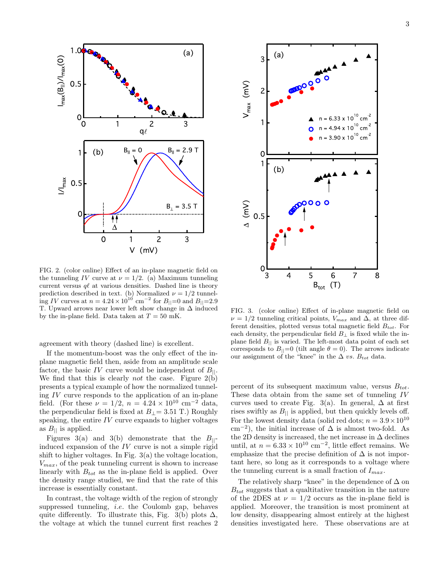

FIG. 2. (color online) Effect of an in-plane magnetic field on the tunneling IV curve at  $\nu = 1/2$ . (a) Maximum tunneling current versus  $q\ell$  at various densities. Dashed line is theory prediction described in text. (b) Normalized  $\nu = 1/2$  tunneling IV curves at  $n = 4.24 \times 10^{10}$  cm<sup>-2</sup> for  $B_{||}=0$  and  $B_{||}=2.9$ T. Upward arrows near lower left show change in ∆ induced by the in-plane field. Data taken at  $T = 50$  mK.

agreement with theory (dashed line) is excellent.

If the momentum-boost was the only effect of the inplane magnetic field then, aside from an amplitude scale factor, the basic IV curve would be independent of  $B_{||}$ . We find that this is clearly *not* the case. Figure 2(b) presents a typical example of how the normalized tunneling IV curve responds to the application of an in-plane field. (For these  $\nu = 1/2$ ,  $n = 4.24 \times 10^{10}$  cm<sup>-2</sup> data, the perpendicular field is fixed at  $B_{\perp}$  = 3.51 T.) Roughly speaking, the entire  $IV$  curve expands to higher voltages as  $B_{\parallel}$  is applied.

Figures 3(a) and 3(b) demonstrate that the  $B_{\parallel}$ induced expansion of the  $IV$  curve is not a simple rigid shift to higher voltages. In Fig. 3(a) the voltage location,  $V_{max}$ , of the peak tunneling current is shown to increase linearly with  $B_{tot}$  as the in-plane field is applied. Over the density range studied, we find that the rate of this increase is essentially constant.

In contrast, the voltage width of the region of strongly suppressed tunneling, i.e. the Coulomb gap, behaves quite differently. To illustrate this, Fig. 3(b) plots  $\Delta$ , the voltage at which the tunnel current first reaches 2



FIG. 3. (color online) Effect of in-plane magnetic field on  $\nu = 1/2$  tunneling critical points,  $V_{max}$  and  $\Delta$ , at three different densities, plotted versus total magnetic field  $B_{tot}$ . For each density, the perpendicular field  $B_{\perp}$  is fixed while the inplane field  $B_{\parallel}$  is varied. The left-most data point of each set corresponds to  $B_{\parallel}=0$  (tilt angle  $\theta=0$ ). The arrows indicate our assignment of the "knee" in the  $\Delta$  vs.  $B_{tot}$  data.

percent of its subsequent maximum value, versus  $B_{tot}$ . These data obtain from the same set of tunneling IV curves used to create Fig. 3(a). In general,  $\Delta$  at first rises swiftly as  $B_{\parallel}$  is applied, but then quickly levels off. For the lowest density data (solid red dots;  $n = 3.9 \times 10^{10}$ cm<sup>-2</sup>), the initial increase of  $\Delta$  is almost two-fold. As the 2D density is increased, the net increase in  $\Delta$  declines until, at  $n = 6.33 \times 10^{10}$  cm<sup>-2</sup>, little effect remains. We emphasize that the precise definition of  $\Delta$  is not important here, so long as it corresponds to a voltage where the tunneling current is a small fraction of  $I_{max}$ .

The relatively sharp "knee" in the dependence of  $\Delta$  on  $B_{tot}$  suggests that a qualitative transition in the nature of the 2DES at  $\nu = 1/2$  occurs as the in-plane field is applied. Moreover, the transition is most prominent at low density, disappearing almost entirely at the highest densities investigated here. These observations are at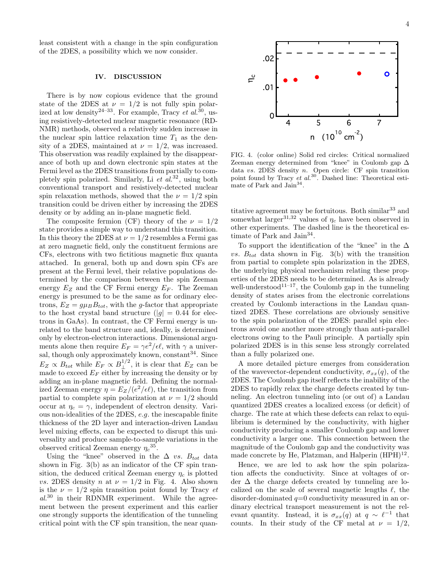least consistent with a change in the spin configuration of the 2DES, a possibility which we now consider.

#### IV. DISCUSSION

There is by now copious evidence that the ground state of the 2DES at  $\nu = 1/2$  is not fully spin polarized at low density<sup>24–33</sup>. For example, Tracy *et al.*<sup>30</sup>, using resistively-detected nuclear magnetic resonance (RD-NMR) methods, observed a relatively sudden increase in the nuclear spin lattice relaxation time  $T_1$  as the density of a 2DES, maintained at  $\nu = 1/2$ , was increased. This observation was readily explained by the disappearance of both up and down electronic spin states at the Fermi level as the 2DES transitions from partially to completely spin polarized. Similarly, Li  $et$   $al.^{32}$ , using both conventional transport and resistively-detected nuclear spin relaxation methods, showed that the  $\nu = 1/2$  spin transition could be driven either by increasing the 2DES density or by adding an in-plane magnetic field.

The composite fermion (CF) theory of the  $\nu = 1/2$ state provides a simple way to understand this transition. In this theory the 2DES at  $\nu = 1/2$  resembles a Fermi gas at zero magnetic field, only the constituent fermions are CFs, electrons with two fictitious magnetic flux quanta attached. In general, both up and down spin CFs are present at the Fermi level, their relative populations determined by the comparison between the spin Zeeman energy  $E_Z$  and the CF Fermi energy  $E_F$ . The Zeeman energy is presumed to be the same as for ordinary electrons,  $E_Z = g\mu_B B_{tot}$ , with the g-factor that appropriate to the host crystal band structure  $(|g| = 0.44$  for electrons in GaAs). In contrast, the CF Fermi energy is unrelated to the band structure and, ideally, is determined only by electron-electron interactions. Dimensional arguments alone then require  $E_F = \gamma e^2/\epsilon \ell$ , with  $\gamma$  a universal, though only approximately known,  $\rm constant^{34}.$  Since  $E_Z \propto B_{tot}$  while  $E_F \propto B_{\perp}^{1/2}$ , it is clear that  $E_Z$  can be made to exceed  $E_F$  either by increasing the density or by adding an in-plane magnetic field. Defining the normalized Zeeman energy  $\eta = E_Z/(e^2/\epsilon \ell)$ , the transition from partial to complete spin polarization at  $\nu = 1/2$  should occur at  $\eta_c = \gamma$ , independent of electron density. Various non-idealities of the 2DES, e.g. the inescapable finite thickness of the 2D layer and interaction-driven Landau level mixing effects, can be expected to disrupt this universality and produce sample-to-sample variations in the observed critical Zeeman energy  $\eta_c^{35}$ .

Using the "knee" observed in the  $\Delta$  vs.  $B_{tot}$  data shown in Fig. 3(b) as an indicator of the CF spin transition, the deduced critical Zeeman energy  $\eta_c$  is plotted vs. 2DES density n at  $\nu = 1/2$  in Fig. 4. Also shown is the  $\nu = 1/2$  spin transition point found by Tracy et  $al^{30}$  in their RDNMR experiment. While the agreement between the present experiment and this earlier one strongly supports the identification of the tunneling critical point with the CF spin transition, the near quan-



FIG. 4. (color online) Solid red circles: Critical normalized Zeeman energy determined from "knee" in Coulomb gap ∆ data vs. 2DES density n. Open circle: CF spin transition point found by Tracy et  $al.^{30}$ . Dashed line: Theoretical estimate of Park and Jain<sup>34</sup>.

titative agreement may be fortuitous. Both similar  $33$  and somewhat larger<sup>31,32</sup> values of  $\eta_c$  have been observed in other experiments. The dashed line is the theoretical estimate of Park and Jain<sup>34</sup>.

To support the identification of the "knee" in the  $\Delta$ vs.  $B_{tot}$  data shown in Fig. 3(b) with the transition from partial to complete spin polarization in the 2DES, the underlying physical mechanism relating these properties of the 2DES needs to be determined. As is already well-understood<sup>11–17</sup>, the Coulomb gap in the tunneling density of states arises from the electronic correlations created by Coulomb interactions in the Landau quantized 2DES. These correlations are obviously sensitive to the spin polarization of the 2DES: parallel spin electrons avoid one another more strongly than anti-parallel electrons owing to the Pauli principle. A partially spin polarized 2DES is in this sense less strongly correlated than a fully polarized one.

A more detailed picture emerges from consideration of the wavevector-dependent conductivity,  $\sigma_{xx}(q)$ , of the 2DES. The Coulomb gap itself reflects the inability of the 2DES to rapidly relax the charge defects created by tunneling. An electron tunneling into (or out of) a Landau quantized 2DES creates a localized excess (or deficit) of charge. The rate at which these defects can relax to equilibrium is determined by the conductivity, with higher conductivity producing a smaller Coulomb gap and lower conductivity a larger one. This connection between the magnitude of the Coulomb gap and the conductivity was made concrete by He, Platzman, and Halperin  $(HPH)^{12}$ .

Hence, we are led to ask how the spin polarization affects the conductivity. Since at voltages of order ∆ the charge defects created by tunneling are localized on the scale of several magnetic lengths  $\ell$ , the disorder-dominated  $q=0$  conductivity measured in an ordinary electrical transport measurement is not the relevant quantity. Instead, it is  $\sigma_{xx}(q)$  at  $q \sim \ell^{-1}$  that counts. In their study of the CF metal at  $\nu = 1/2$ ,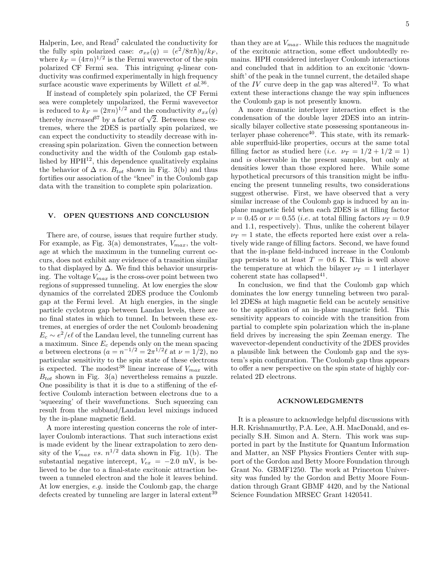Halperin, Lee, and Read<sup>7</sup> calculated the conductivity for the fully spin polarized case:  $\sigma_{xx}(q) = (e^2/8\pi\hbar)q/k_F$ , where  $k_F = (4\pi n)^{1/2}$  is the Fermi wavevector of the spin polarized CF Fermi sea. This intriguing q-linear conductivity was confirmed experimentally in high frequency surface acoustic wave experiments by Willett  $et \ al.<sup>36</sup>$ .

If instead of completely spin polarized, the CF Fermi sea were completely unpolarized, the Fermi wavevector is reduced to  $k_F = (2\pi n)^{1/2}$  and the conductivity  $\sigma_{xx}(q)$ thereby *increased*<sup>37</sup> by a factor of  $\sqrt{2}$ . Between these extremes, where the 2DES is partially spin polarized, we can expect the conductivity to steadily decrease with increasing spin polarization. Given the connection between conductivity and the width of the Coulomb gap established by  $\text{HPH}^{12}$ , this dependence qualitatively explains the behavior of  $\Delta$  vs.  $B_{tot}$  shown in Fig. 3(b) and thus fortifies our association of the "knee" in the Coulomb gap data with the transition to complete spin polarization.

### V. OPEN QUESTIONS AND CONCLUSION

There are, of course, issues that require further study. For example, as Fig. 3(a) demonstrates,  $V_{max}$ , the voltage at which the maximum in the tunneling current occurs, does not exhibit any evidence of a transition similar to that displayed by  $\Delta$ . We find this behavior unsurprising. The voltage  $V_{max}$  is the cross-over point between two regions of suppressed tunneling. At low energies the slow dynamics of the correlated 2DES produce the Coulomb gap at the Fermi level. At high energies, in the single particle cyclotron gap between Landau levels, there are no final states in which to tunnel. In between these extremes, at energies of order the net Coulomb broadening  $E_c \sim e^2/\epsilon \ell$  of the Landau level, the tunneling current has a maximum. Since  $E_c$  depends only on the mean spacing a between electrons  $(a = n^{-1/2} = 2\pi^{1/2}\ell$  at  $\nu = 1/2$ , no particular sensitivity to the spin state of these electrons is expected. The modest<sup>38</sup> linear increase of  $V_{max}$  with  $B_{tot}$  shown in Fig. 3(a) nevertheless remains a puzzle. One possibility is that it is due to a stiffening of the effective Coulomb interaction between electrons due to a 'squeezing' of their wavefunctions. Such squeezing can result from the subband/Landau level mixings induced by the in-plane magnetic field.

A more interesting question concerns the role of interlayer Coulomb interactions. That such interactions exist is made evident by the linear extrapolation to zero density of the  $V_{max}$  vs.  $n^{1/2}$  data shown in Fig. 1(b). The substantial negative intercept,  $V_{ex} = -2.0$  mV, is believed to be due to a final-state excitonic attraction between a tunneled electron and the hole it leaves behind. At low energies, e.g. inside the Coulomb gap, the charge defects created by tunneling are larger in lateral extent<sup>39</sup>

than they are at  $V_{max}$ . While this reduces the magnitude of the excitonic attraction, some effect undoubtedly remains. HPH considered interlayer Coulomb interactions and concluded that in addition to an excitonic 'downshift' of the peak in the tunnel current, the detailed shape of the IV curve deep in the gap was altered<sup>12</sup>. To what extent these interactions change the way spin influences the Coulomb gap is not presently known.

A more dramatic interlayer interaction effect is the condensation of the double layer 2DES into an intrinsically bilayer collective state possessing spontaneous interlayer phase coherence $40$ . This state, with its remarkable superfluid-like properties, occurs at the same total filling factor as studied here (*i.e.*  $\nu_T = 1/2 + 1/2 = 1$ ) and is observable in the present samples, but only at densities lower than those explored here. While some hypothetical precursors of this transition might be influencing the present tunneling results, two considerations suggest otherwise. First, we have observed that a very similar increase of the Coulomb gap is induced by an inplane magnetic field when each 2DES is at filling factor  $\nu = 0.45$  or  $\nu = 0.55$  (*i.e.* at total filling factors  $\nu_T = 0.9$ and 1.1, respectively). Thus, unlike the coherent bilayer  $\nu_T = 1$  state, the effects reported here exist over a relatively wide range of filling factors. Second, we have found that the in-plane field-induced increase in the Coulomb gap persists to at least  $T = 0.6$  K. This is well above the temperature at which the bilayer  $\nu_T = 1$  interlayer coherent state has collapsed<sup>41</sup>.

In conclusion, we find that the Coulomb gap which dominates the low energy tunneling between two parallel 2DESs at high magnetic field can be acutely sensitive to the application of an in-plane magnetic field. This sensitivity appears to coincide with the transition from partial to complete spin polarization which the in-plane field drives by increasing the spin Zeeman energy. The wavevector-dependent conductivity of the 2DES provides a plausible link between the Coulomb gap and the system's spin configuration. The Coulomb gap thus appears to offer a new perspective on the spin state of highly correlated 2D electrons.

#### ACKNOWLEDGMENTS

It is a pleasure to acknowledge helpful discussions with H.R. Krishnamurthy, P.A. Lee, A.H. MacDonald, and especially S.H. Simon and A. Stern. This work was supported in part by the Institute for Quantum Information and Matter, an NSF Physics Frontiers Center with support of the Gordon and Betty Moore Foundation through Grant No. GBMF1250. The work at Princeton University was funded by the Gordon and Betty Moore Foundation through Grant GBMF 4420, and by the National Science Foundation MRSEC Grant 1420541.